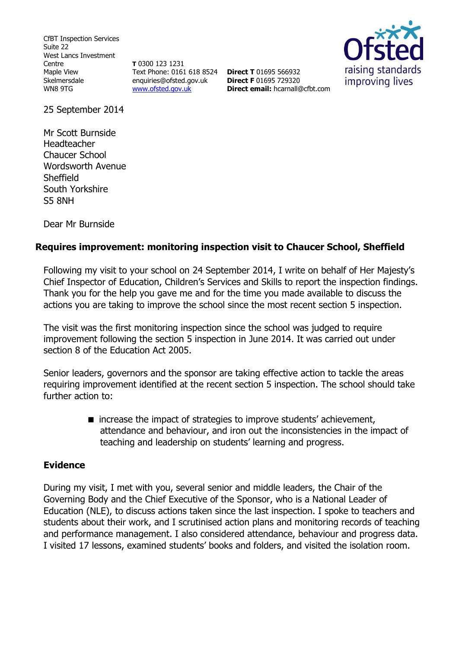CfBT Inspection Services Suite 22 West Lancs Investment Centre Maple View Skelmersdale WN8 9TG

**T** 0300 123 1231 Text Phone: 0161 618 8524 **Direct T** 01695 566932 enquiries@ofsted.gov.uk [www.ofsted.gov.uk](http://www.ofsted.gov.uk/)

**Direct F** 01695 729320 **Direct email:** [hcarnall@cfbt.com](file:///C:/Users/jyoung/AppData/Local/Microsoft/Windows/Temporary%20Internet%20Files/Content.IE5/YKGT7MVT/hcarnall@cfbt.com)



25 September 2014

Mr Scott Burnside Headteacher Chaucer School Wordsworth Avenue **Sheffield** South Yorkshire S5 8NH

Dear Mr Burnside

# **Requires improvement: monitoring inspection visit to Chaucer School, Sheffield**

Following my visit to your school on 24 September 2014, I write on behalf of Her Majesty's Chief Inspector of Education, Children's Services and Skills to report the inspection findings. Thank you for the help you gave me and for the time you made available to discuss the actions you are taking to improve the school since the most recent section 5 inspection.

The visit was the first monitoring inspection since the school was judged to require improvement following the section 5 inspection in June 2014. It was carried out under section 8 of the Education Act 2005.

Senior leaders, governors and the sponsor are taking effective action to tackle the areas requiring improvement identified at the recent section 5 inspection. The school should take further action to:

> ■ increase the impact of strategies to improve students' achievement, attendance and behaviour, and iron out the inconsistencies in the impact of teaching and leadership on students' learning and progress.

### **Evidence**

During my visit, I met with you, several senior and middle leaders, the Chair of the Governing Body and the Chief Executive of the Sponsor, who is a National Leader of Education (NLE), to discuss actions taken since the last inspection. I spoke to teachers and students about their work, and I scrutinised action plans and monitoring records of teaching and performance management. I also considered attendance, behaviour and progress data. I visited 17 lessons, examined students' books and folders, and visited the isolation room.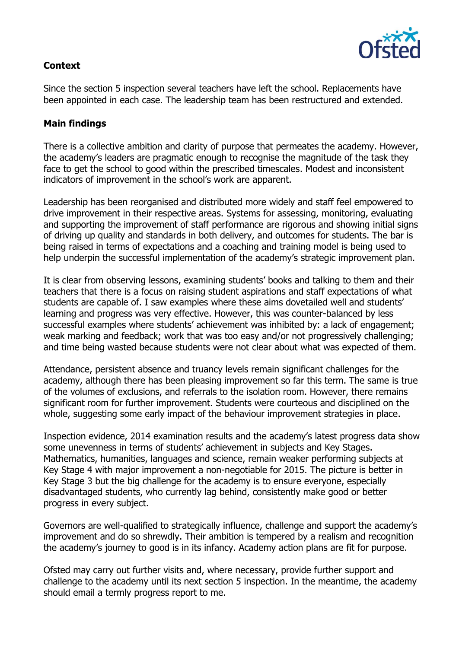

## **Context**

Since the section 5 inspection several teachers have left the school. Replacements have been appointed in each case. The leadership team has been restructured and extended.

### **Main findings**

There is a collective ambition and clarity of purpose that permeates the academy. However, the academy's leaders are pragmatic enough to recognise the magnitude of the task they face to get the school to good within the prescribed timescales. Modest and inconsistent indicators of improvement in the school's work are apparent.

Leadership has been reorganised and distributed more widely and staff feel empowered to drive improvement in their respective areas. Systems for assessing, monitoring, evaluating and supporting the improvement of staff performance are rigorous and showing initial signs of driving up quality and standards in both delivery, and outcomes for students. The bar is being raised in terms of expectations and a coaching and training model is being used to help underpin the successful implementation of the academy's strategic improvement plan.

It is clear from observing lessons, examining students' books and talking to them and their teachers that there is a focus on raising student aspirations and staff expectations of what students are capable of. I saw examples where these aims dovetailed well and students' learning and progress was very effective. However, this was counter-balanced by less successful examples where students' achievement was inhibited by: a lack of engagement; weak marking and feedback; work that was too easy and/or not progressively challenging; and time being wasted because students were not clear about what was expected of them.

Attendance, persistent absence and truancy levels remain significant challenges for the academy, although there has been pleasing improvement so far this term. The same is true of the volumes of exclusions, and referrals to the isolation room. However, there remains significant room for further improvement. Students were courteous and disciplined on the whole, suggesting some early impact of the behaviour improvement strategies in place.

Inspection evidence, 2014 examination results and the academy's latest progress data show some unevenness in terms of students' achievement in subjects and Key Stages. Mathematics, humanities, languages and science, remain weaker performing subjects at Key Stage 4 with major improvement a non-negotiable for 2015. The picture is better in Key Stage 3 but the big challenge for the academy is to ensure everyone, especially disadvantaged students, who currently lag behind, consistently make good or better progress in every subject.

Governors are well-qualified to strategically influence, challenge and support the academy's improvement and do so shrewdly. Their ambition is tempered by a realism and recognition the academy's journey to good is in its infancy. Academy action plans are fit for purpose.

Ofsted may carry out further visits and, where necessary, provide further support and challenge to the academy until its next section 5 inspection. In the meantime, the academy should email a termly progress report to me.